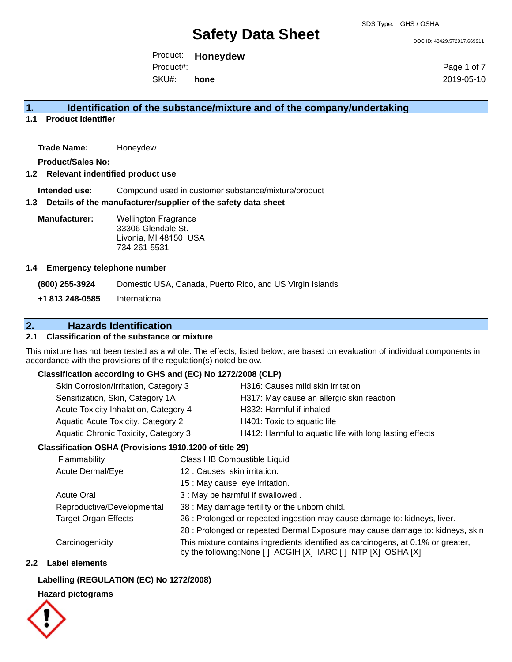DOC ID: 43429.572917.669911

Product: **Honeydew** Product#:

SKU#: **hone** Page 1 of 7 2019-05-10

## **1. Identification of the substance/mixture and of the company/undertaking**

**1.1 Product identifier**

**Trade Name:** Honeydew

**Product/Sales No:**

#### **1.2 Relevant indentified product use**

**Intended use:** Compound used in customer substance/mixture/product

#### **1.3 Details of the manufacturer/supplier of the safety data sheet**

**Manufacturer:** Wellington Fragrance 33306 Glendale St. Livonia, MI 48150 USA 734-261-5531

#### **1.4 Emergency telephone number**

**(800) 255-3924** Domestic USA, Canada, Puerto Rico, and US Virgin Islands **+1 813 248-0585** International

## **2. Hazards Identification**

### **2.1 Classification of the substance or mixture**

This mixture has not been tested as a whole. The effects, listed below, are based on evaluation of individual components in accordance with the provisions of the regulation(s) noted below.

#### **Classification according to GHS and (EC) No 1272/2008 (CLP)**

| H316: Causes mild skin irritation<br>Skin Corrosion/Irritation, Category 3                      |  |
|-------------------------------------------------------------------------------------------------|--|
| Sensitization, Skin, Category 1A<br>H317: May cause an allergic skin reaction                   |  |
| Acute Toxicity Inhalation, Category 4<br>H332: Harmful if inhaled                               |  |
| Aquatic Acute Toxicity, Category 2<br>H401: Toxic to aquatic life                               |  |
| H412: Harmful to aquatic life with long lasting effects<br>Aquatic Chronic Toxicity, Category 3 |  |

### **Classification OSHA (Provisions 1910.1200 of title 29)**

| Flammability                | Class IIIB Combustible Liquid                                                                                                                      |
|-----------------------------|----------------------------------------------------------------------------------------------------------------------------------------------------|
| Acute Dermal/Eye            | 12: Causes skin irritation.                                                                                                                        |
|                             | 15 : May cause eye irritation.                                                                                                                     |
| <b>Acute Oral</b>           | 3 : May be harmful if swallowed.                                                                                                                   |
| Reproductive/Developmental  | 38 : May damage fertility or the unborn child.                                                                                                     |
| <b>Target Organ Effects</b> | 26 : Prolonged or repeated ingestion may cause damage to: kidneys, liver.                                                                          |
|                             | 28 : Prolonged or repeated Dermal Exposure may cause damage to: kidneys, skin                                                                      |
| Carcinogenicity             | This mixture contains ingredients identified as carcinogens, at 0.1% or greater,<br>by the following: None [ ] ACGIH [X] IARC [ ] NTP [X] OSHA [X] |

#### **2.2 Label elements**

#### **Labelling (REGULATION (EC) No 1272/2008)**

#### **Hazard pictograms**

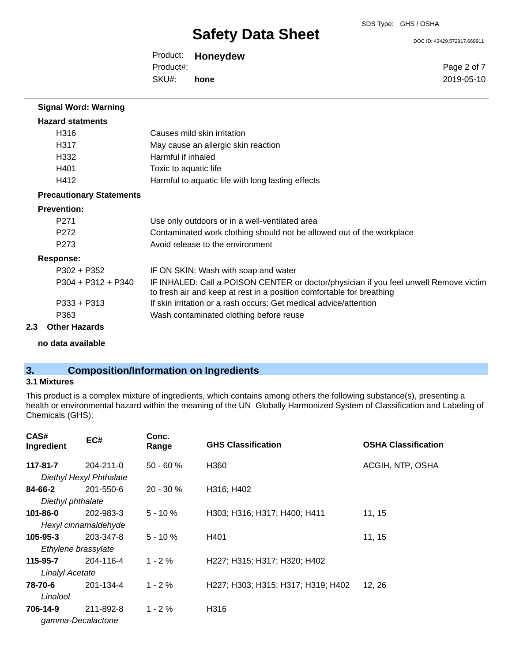DOC ID: 43429.572917.669911

Product: **Honeydew** SKU#: Product#: **hone**

Page 2 of 7 2019-05-10

| <b>Signal Word: Warning</b>     |                                                                                                                                                                |
|---------------------------------|----------------------------------------------------------------------------------------------------------------------------------------------------------------|
| <b>Hazard statments</b>         |                                                                                                                                                                |
| H316                            | Causes mild skin irritation                                                                                                                                    |
| H317                            | May cause an allergic skin reaction                                                                                                                            |
| H332                            | Harmful if inhaled                                                                                                                                             |
| H401                            | Toxic to aquatic life                                                                                                                                          |
| H412                            | Harmful to aquatic life with long lasting effects                                                                                                              |
| <b>Precautionary Statements</b> |                                                                                                                                                                |
| <b>Prevention:</b>              |                                                                                                                                                                |
| P <sub>271</sub>                | Use only outdoors or in a well-ventilated area                                                                                                                 |
| P <sub>272</sub>                | Contaminated work clothing should not be allowed out of the workplace                                                                                          |
| P <sub>273</sub>                | Avoid release to the environment                                                                                                                               |
| <b>Response:</b>                |                                                                                                                                                                |
| $P302 + P352$                   | IF ON SKIN: Wash with soap and water                                                                                                                           |
| $P304 + P312 + P340$            | IF INHALED: Call a POISON CENTER or doctor/physician if you feel unwell Remove victim<br>to fresh air and keep at rest in a position comfortable for breathing |
| $P333 + P313$                   | If skin irritation or a rash occurs: Get medical advice/attention                                                                                              |
| P363                            | Wash contaminated clothing before reuse                                                                                                                        |
| <b>Other Hazards</b><br>2.3     |                                                                                                                                                                |
|                                 |                                                                                                                                                                |

**no data available**

# **3. Composition/Information on Ingredients**

## **3.1 Mixtures**

This product is a complex mixture of ingredients, which contains among others the following substance(s), presenting a health or environmental hazard within the meaning of the UN Globally Harmonized System of Classification and Labeling of Chemicals (GHS):

| CAS#<br>Ingredient     | EC#                     | Conc.<br>Range | <b>GHS Classification</b>          | <b>OSHA Classification</b> |
|------------------------|-------------------------|----------------|------------------------------------|----------------------------|
| 117-81-7               | $204 - 211 - 0$         | $50 - 60%$     | H360                               | ACGIH, NTP, OSHA           |
|                        | Diethyl Hexyl Phthalate |                |                                    |                            |
| 84-66-2                | 201-550-6               | $20 - 30 \%$   | H316; H402                         |                            |
| Diethyl phthalate      |                         |                |                                    |                            |
| 101-86-0               | 202-983-3               | $5 - 10 \%$    | H303; H316; H317; H400; H411       | 11, 15                     |
|                        | Hexyl cinnamaldehyde    |                |                                    |                            |
| $105 - 95 - 3$         | 203-347-8               | $5 - 10%$      | H401                               | 11, 15                     |
| Ethylene brassylate    |                         |                |                                    |                            |
| 115-95-7               | 204-116-4               | $1 - 2%$       | H227; H315; H317; H320; H402       |                            |
| <b>Linalyl Acetate</b> |                         |                |                                    |                            |
| 78-70-6                | 201-134-4               | $1 - 2 \%$     | H227; H303; H315; H317; H319; H402 | 12, 26                     |
| Linalool               |                         |                |                                    |                            |
| 706-14-9               | 211-892-8               | $1 - 2 \%$     | H316                               |                            |
|                        | gamma-Decalactone       |                |                                    |                            |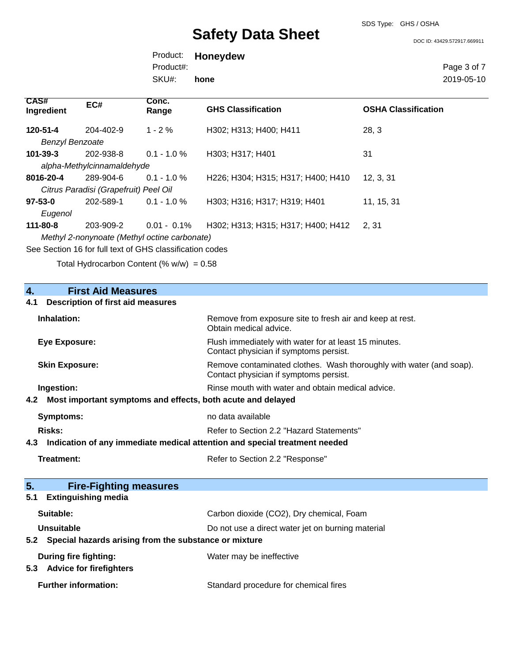SDS Type: GHS / OSHA

DOC ID: 43429.572917.669911

Product: **Honeydew** SKU#: Product#: **hone**

Page 3 of 7 2019-05-10

| <b>CAS#</b><br>Ingredient | EC#                                                      | Conc.<br>Range | <b>GHS Classification</b>          | <b>OSHA Classification</b> |
|---------------------------|----------------------------------------------------------|----------------|------------------------------------|----------------------------|
| 120-51-4                  | 204-402-9                                                | $1 - 2\%$      | H302; H313; H400; H411             | 28, 3                      |
| <b>Benzyl Benzoate</b>    |                                                          |                |                                    |                            |
| $101 - 39 - 3$            | 202-938-8                                                | $0.1 - 1.0 \%$ | H303; H317; H401                   | 31                         |
|                           | alpha-Methylcinnamaldehyde                               |                |                                    |                            |
| 8016-20-4                 | 289-904-6                                                | $0.1 - 1.0 \%$ | H226; H304; H315; H317; H400; H410 | 12, 3, 31                  |
|                           | Citrus Paradisi (Grapefruit) Peel Oil                    |                |                                    |                            |
| $97 - 53 - 0$             | 202-589-1                                                | $0.1 - 1.0 \%$ | H303; H316; H317; H319; H401       | 11, 15, 31                 |
| Eugenol                   |                                                          |                |                                    |                            |
| 111-80-8                  | 203-909-2                                                | $0.01 - 0.1\%$ | H302; H313; H315; H317; H400; H412 | 2, 31                      |
|                           | Methyl 2-nonynoate (Methyl octine carbonate)             |                |                                    |                            |
|                           | See Section 16 for full text of GHS classification codes |                |                                    |                            |

Total Hydrocarbon Content  $(\% w/w) = 0.58$ 

| $\overline{4}$ .<br><b>First Aid Measures</b>                                     |                                                                                                               |  |  |
|-----------------------------------------------------------------------------------|---------------------------------------------------------------------------------------------------------------|--|--|
| <b>Description of first aid measures</b><br>4.1                                   |                                                                                                               |  |  |
| Inhalation:                                                                       | Remove from exposure site to fresh air and keep at rest.<br>Obtain medical advice.                            |  |  |
| <b>Eye Exposure:</b>                                                              | Flush immediately with water for at least 15 minutes.<br>Contact physician if symptoms persist.               |  |  |
| <b>Skin Exposure:</b>                                                             | Remove contaminated clothes. Wash thoroughly with water (and soap).<br>Contact physician if symptoms persist. |  |  |
| Ingestion:                                                                        | Rinse mouth with water and obtain medical advice.                                                             |  |  |
| Most important symptoms and effects, both acute and delayed<br>4.2                |                                                                                                               |  |  |
| <b>Symptoms:</b>                                                                  | no data available                                                                                             |  |  |
| Refer to Section 2.2 "Hazard Statements"<br><b>Risks:</b>                         |                                                                                                               |  |  |
| Indication of any immediate medical attention and special treatment needed<br>4.3 |                                                                                                               |  |  |
| <b>Treatment:</b>                                                                 | Refer to Section 2.2 "Response"                                                                               |  |  |
|                                                                                   |                                                                                                               |  |  |
| 5.<br><b>Fire-Fighting measures</b>                                               |                                                                                                               |  |  |
| <b>Extinguishing media</b><br>5.1                                                 |                                                                                                               |  |  |
| Suitable:                                                                         | Carbon dioxide (CO2), Dry chemical, Foam                                                                      |  |  |
| Unsuitable                                                                        | Do not use a direct water jet on burning material                                                             |  |  |
| 5.2 Special hazards arising from the substance or mixture                         |                                                                                                               |  |  |
| During fire fighting:<br><b>Advice for firefighters</b><br>5.3                    | Water may be ineffective                                                                                      |  |  |
| <b>Further information:</b>                                                       | Standard procedure for chemical fires                                                                         |  |  |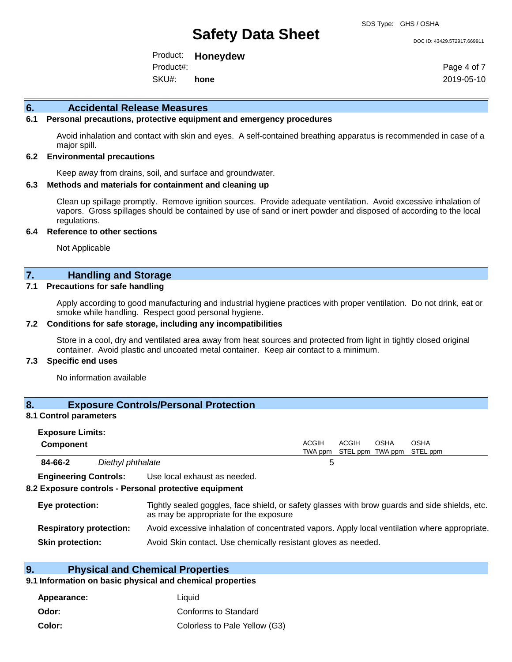#### DOC ID: 43429.572917.669911

Product: **Honeydew** SKU#: Product#: **hone**

Page 4 of 7 2019-05-10

#### **6. Accidental Release Measures**

## **6.1 Personal precautions, protective equipment and emergency procedures**

Avoid inhalation and contact with skin and eyes. A self-contained breathing apparatus is recommended in case of a major spill.

#### **6.2 Environmental precautions**

Keep away from drains, soil, and surface and groundwater.

#### **6.3 Methods and materials for containment and cleaning up**

Clean up spillage promptly. Remove ignition sources. Provide adequate ventilation. Avoid excessive inhalation of vapors. Gross spillages should be contained by use of sand or inert powder and disposed of according to the local regulations.

#### **6.4 Reference to other sections**

Not Applicable

# **7. Handling and Storage**

### **7.1 Precautions for safe handling**

Apply according to good manufacturing and industrial hygiene practices with proper ventilation. Do not drink, eat or smoke while handling. Respect good personal hygiene.

#### **7.2 Conditions for safe storage, including any incompatibilities**

Store in a cool, dry and ventilated area away from heat sources and protected from light in tightly closed original container. Avoid plastic and uncoated metal container. Keep air contact to a minimum.

#### **7.3 Specific end uses**

No information available

#### **8. Exposure Controls/Personal Protection**

#### **8.1 Control parameters**

| <b>Exposure Limits:</b><br><b>Component</b> |                              |                                                                                                                                          | ACGIH | <b>ACGIH</b> | <b>OSHA</b> | <b>OSHA</b><br>TWA ppm STEL ppm TWA ppm STEL ppm |  |
|---------------------------------------------|------------------------------|------------------------------------------------------------------------------------------------------------------------------------------|-------|--------------|-------------|--------------------------------------------------|--|
| 84-66-2                                     | Diethyl phthalate            |                                                                                                                                          | b     |              |             |                                                  |  |
|                                             | <b>Engineering Controls:</b> | Use local exhaust as needed.<br>8.2 Exposure controls - Personal protective equipment                                                    |       |              |             |                                                  |  |
| Eye protection:                             |                              | Tightly sealed goggles, face shield, or safety glasses with brow guards and side shields, etc.<br>as may be appropriate for the exposure |       |              |             |                                                  |  |

| <b>Respiratory protection:</b> | Avoid excessive inhalation of concentrated vapors. Apply local ventilation where appropriate. |  |
|--------------------------------|-----------------------------------------------------------------------------------------------|--|
|--------------------------------|-----------------------------------------------------------------------------------------------|--|

**Skin protection:** Avoid Skin contact. Use chemically resistant gloves as needed.

## **9. Physical and Chemical Properties**

#### **9.1 Information on basic physical and chemical properties**

| Appearance: | Liauid                        |
|-------------|-------------------------------|
| Odor:       | Conforms to Standard          |
| Color:      | Colorless to Pale Yellow (G3) |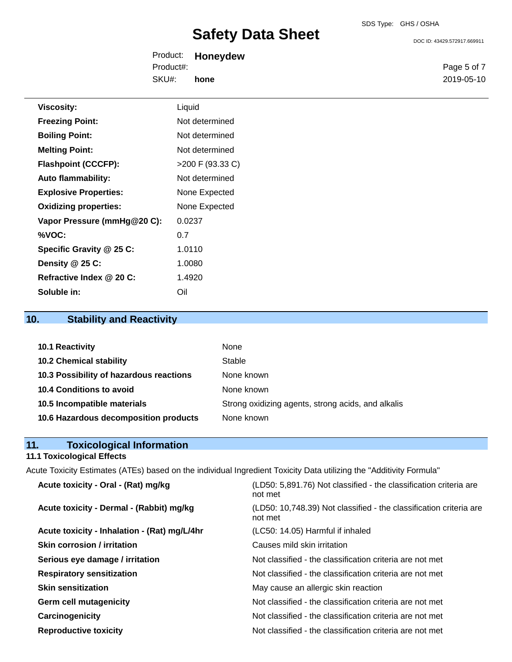DOC ID: 43429.572917.669911

Product: **Honeydew** SKU#: Product#: **hone**

Page 5 of 7 2019-05-10

| <b>Viscosity:</b>            | Liquid           |
|------------------------------|------------------|
| <b>Freezing Point:</b>       | Not determined   |
| <b>Boiling Point:</b>        | Not determined   |
| <b>Melting Point:</b>        | Not determined   |
| <b>Flashpoint (CCCFP):</b>   | >200 F (93.33 C) |
| <b>Auto flammability:</b>    | Not determined   |
| <b>Explosive Properties:</b> | None Expected    |
| <b>Oxidizing properties:</b> | None Expected    |
| Vapor Pressure (mmHg@20 C):  | 0.0237           |
| %VOC:                        | 0.7              |
| Specific Gravity @ 25 C:     | 1.0110           |
| Density @ 25 C:              | 1.0080           |
| Refractive Index @ 20 C:     | 1.4920           |
| Soluble in:                  | Oil              |

# **10. Stability and Reactivity**

| 10.1 Reactivity                         | None                                               |
|-----------------------------------------|----------------------------------------------------|
| <b>10.2 Chemical stability</b>          | Stable                                             |
| 10.3 Possibility of hazardous reactions | None known                                         |
| 10.4 Conditions to avoid                | None known                                         |
| 10.5 Incompatible materials             | Strong oxidizing agents, strong acids, and alkalis |
| 10.6 Hazardous decomposition products   | None known                                         |

| 11. | <b>Toxicological Information</b> |
|-----|----------------------------------|
|     |                                  |

# **11.1 Toxicological Effects**

Acute Toxicity Estimates (ATEs) based on the individual Ingredient Toxicity Data utilizing the "Additivity Formula"

| Acute toxicity - Oral - (Rat) mg/kg          | (LD50: 5,891.76) Not classified - the classification criteria are<br>not met  |
|----------------------------------------------|-------------------------------------------------------------------------------|
| Acute toxicity - Dermal - (Rabbit) mg/kg     | (LD50: 10,748.39) Not classified - the classification criteria are<br>not met |
| Acute toxicity - Inhalation - (Rat) mg/L/4hr | (LC50: 14.05) Harmful if inhaled                                              |
| <b>Skin corrosion / irritation</b>           | Causes mild skin irritation                                                   |
| Serious eye damage / irritation              | Not classified - the classification criteria are not met                      |
| <b>Respiratory sensitization</b>             | Not classified - the classification criteria are not met                      |
| <b>Skin sensitization</b>                    | May cause an allergic skin reaction                                           |
| <b>Germ cell mutagenicity</b>                | Not classified - the classification criteria are not met                      |
| Carcinogenicity                              | Not classified - the classification criteria are not met                      |
| <b>Reproductive toxicity</b>                 | Not classified - the classification criteria are not met                      |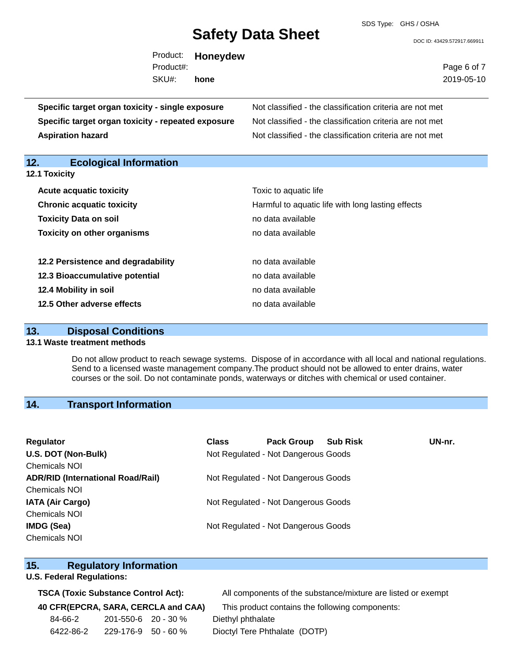SDS Type: GHS / OSHA

DOC ID: 43429.572917.669911

| Product:  | <b>Honeydew</b> |
|-----------|-----------------|
| Product#: |                 |
| SKU#:     | hone            |

Page 6 of 7 2019-05-10

**Specific target organ toxicity - single exposure** Not classified - the classification criteria are not met **Specific target organ toxicity - repeated exposure** Not classified - the classification criteria are not met **Aspiration hazard Not classified - the classification criteria are not met** Not classified - the classification criteria are not met

# **12. Ecological Information**

| <b>Acute acquatic toxicity</b>     | Toxic to aquatic life                             |
|------------------------------------|---------------------------------------------------|
| <b>Chronic acquatic toxicity</b>   | Harmful to aquatic life with long lasting effects |
| <b>Toxicity Data on soil</b>       | no data available                                 |
| <b>Toxicity on other organisms</b> | no data available                                 |
|                                    |                                                   |
| 12.2 Persistence and degradability | no data available                                 |
| 12.3 Bioaccumulative potential     | no data available                                 |
| 12.4 Mobility in soil              | no data available                                 |
| 12.5 Other adverse effects         | no data available                                 |

### **13. Disposal Conditions**

#### **13.1 Waste treatment methods**

Do not allow product to reach sewage systems. Dispose of in accordance with all local and national regulations. Send to a licensed waste management company.The product should not be allowed to enter drains, water courses or the soil. Do not contaminate ponds, waterways or ditches with chemical or used container.

## **14. Transport Information**

| Regulator                                | <b>Class</b> | <b>Pack Group</b>                   | <b>Sub Risk</b> | UN-nr. |
|------------------------------------------|--------------|-------------------------------------|-----------------|--------|
| U.S. DOT (Non-Bulk)                      |              | Not Regulated - Not Dangerous Goods |                 |        |
| <b>Chemicals NOI</b>                     |              |                                     |                 |        |
| <b>ADR/RID (International Road/Rail)</b> |              | Not Regulated - Not Dangerous Goods |                 |        |
| <b>Chemicals NOI</b>                     |              |                                     |                 |        |
| <b>IATA (Air Cargo)</b>                  |              | Not Regulated - Not Dangerous Goods |                 |        |
| <b>Chemicals NOI</b>                     |              |                                     |                 |        |
| <b>IMDG (Sea)</b>                        |              | Not Regulated - Not Dangerous Goods |                 |        |
| <b>Chemicals NOI</b>                     |              |                                     |                 |        |

### **15. Regulatory Information**

### **U.S. Federal Regulations:**

| 84-66-2   | $201 - 550 - 6$ 20 - 30 % | Diethyl phthalate             |  |
|-----------|---------------------------|-------------------------------|--|
| 6422-86-2 | $229 - 176 - 9$ 50 - 60 % | Dioctyl Tere Phthalate (DOTP) |  |

**TSCA (Toxic Substance Control Act):** All components of the substance/mixture are listed or exempt

**40 CFR(EPCRA, SARA, CERCLA and CAA)** This product contains the following components: